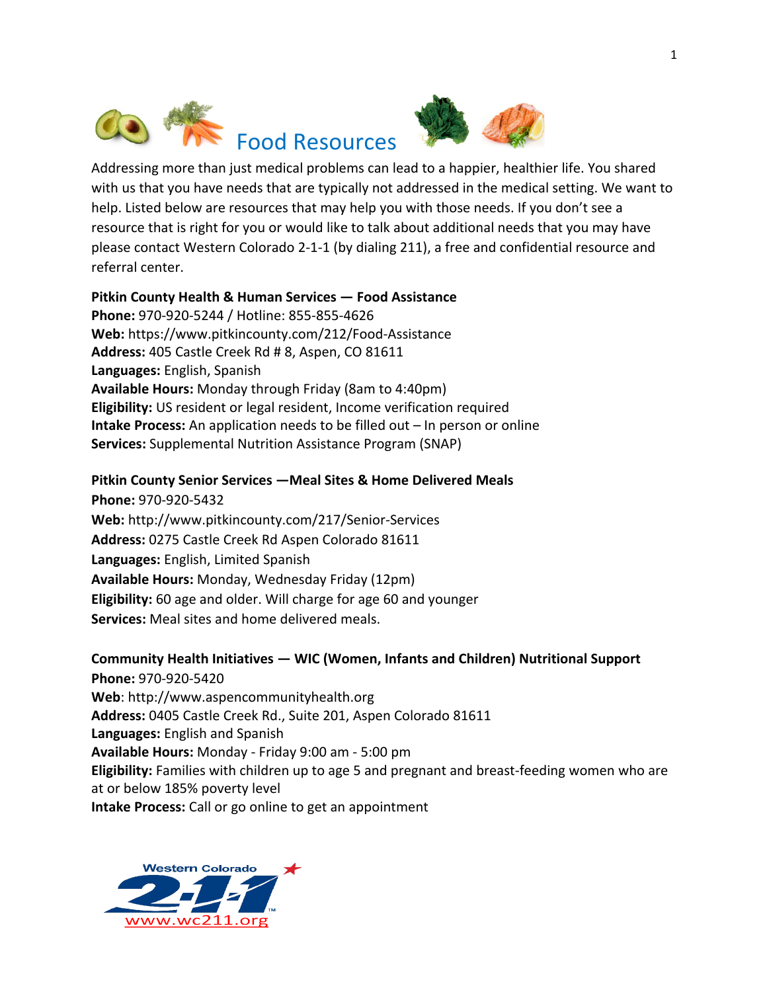



Addressing more than just medical problems can lead to a happier, healthier life. You shared with us that you have needs that are typically not addressed in the medical setting. We want to help. Listed below are resources that may help you with those needs. If you don't see a resource that is right for you or would like to talk about additional needs that you may have please contact Western Colorado 2-1-1 (by dialing 211), a free and confidential resource and referral center.

### **Pitkin County Health & Human Services — Food Assistance**

**Phone:** 970-920-5244 / Hotline: 855-855-4626 **Web:** https://www.pitkincounty.com/212/Food-Assistance Address: 405 Castle Creek Rd # 8, Aspen, CO 81611 Languages: English, Spanish **Available Hours:** Monday through Friday (8am to 4:40pm) **Eligibility:** US resident or legal resident, Income verification required **Intake Process:** An application needs to be filled out – In person or online **Services:** Supplemental Nutrition Assistance Program (SNAP)

#### **Pitkin County Senior Services – Meal Sites & Home Delivered Meals**

**Phone:** 970-920-5432 **Web:** http://www.pitkincounty.com/217/Senior-Services Address: 0275 Castle Creek Rd Aspen Colorado 81611 **Languages:** English, Limited Spanish **Available Hours: Monday, Wednesday Friday (12pm) Eligibility:** 60 age and older. Will charge for age 60 and younger **Services:** Meal sites and home delivered meals.

### **Community Health Initiatives — WIC (Women, Infants and Children) Nutritional Support**

**Phone:** 970-920-5420 Web: http://www.aspencommunityhealth.org Address: 0405 Castle Creek Rd., Suite 201, Aspen Colorado 81611 **Languages:** English and Spanish **Available Hours:** Monday - Friday 9:00 am - 5:00 pm **Eligibility:** Families with children up to age 5 and pregnant and breast-feeding women who are at or below 185% poverty level **Intake Process:** Call or go online to get an appointment

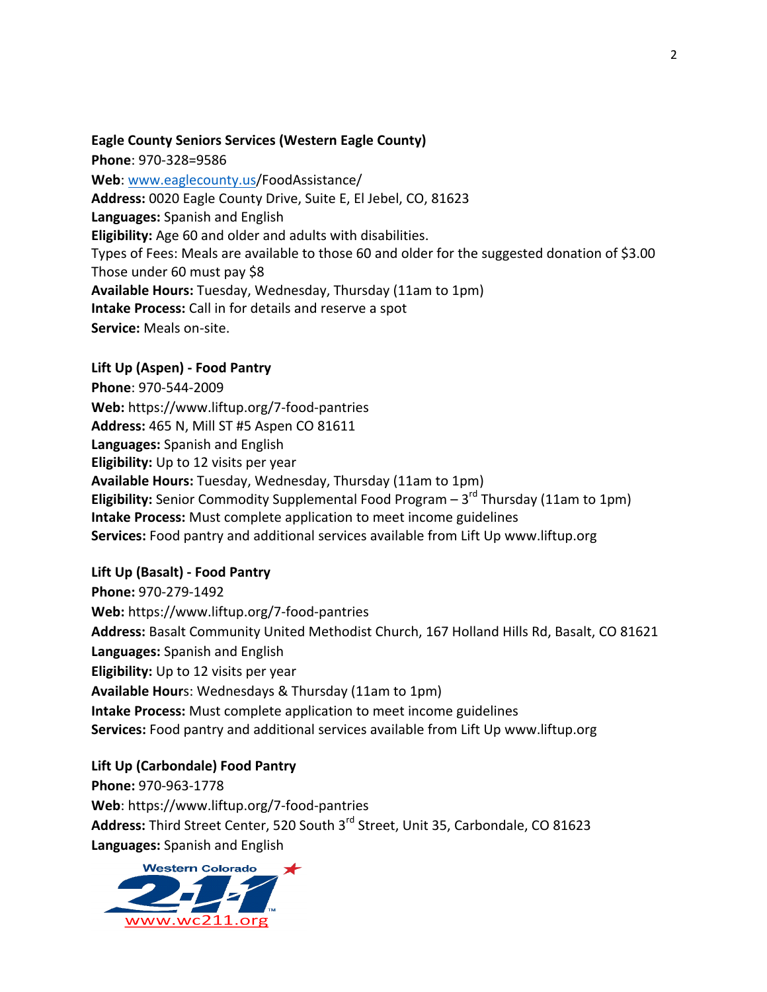## **Eagle County Seniors Services (Western Eagle County)**

**Phone**: 970-328=9586 Web: www.eaglecounty.us/FoodAssistance/ Address: 0020 Eagle County Drive, Suite E, El Jebel, CO, 81623 **Languages:** Spanish and English **Eligibility:** Age 60 and older and adults with disabilities. Types of Fees: Meals are available to those 60 and older for the suggested donation of \$3.00 Those under 60 must pay \$8 **Available Hours:** Tuesday, Wednesday, Thursday (11am to 1pm) **Intake Process:** Call in for details and reserve a spot **Service:** Meals on-site.

### **Lift Up (Aspen) - Food Pantry**

**Phone**: 970-544-2009 Web: https://www.liftup.org/7-food-pantries **Address:** 465 N, Mill ST #5 Aspen CO 81611 Languages: Spanish and English **Eligibility:** Up to 12 visits per year Available Hours: Tuesday, Wednesday, Thursday (11am to 1pm) **Eligibility:** Senior Commodity Supplemental Food Program  $- 3^{rd}$  Thursday (11am to 1pm) **Intake Process:** Must complete application to meet income guidelines **Services:** Food pantry and additional services available from Lift Up www.liftup.org

# **Lift Up (Basalt) - Food Pantry**

**Phone:** 970-279-1492 Web: https://www.liftup.org/7-food-pantries Address: Basalt Community United Methodist Church, 167 Holland Hills Rd, Basalt, CO 81621 Languages: Spanish and English **Eligibility:** Up to 12 visits per year **Available Hour**s: Wednesdays & Thursday (11am to 1pm) **Intake Process:** Must complete application to meet income guidelines **Services:** Food pantry and additional services available from Lift Up www.liftup.org

### **Lift Up (Carbondale) Food Pantry**

**Phone:** 970-963-1778 Web: https://www.liftup.org/7-food-pantries Address: Third Street Center, 520 South 3<sup>rd</sup> Street, Unit 35, Carbondale, CO 81623 **Languages:** Spanish and English

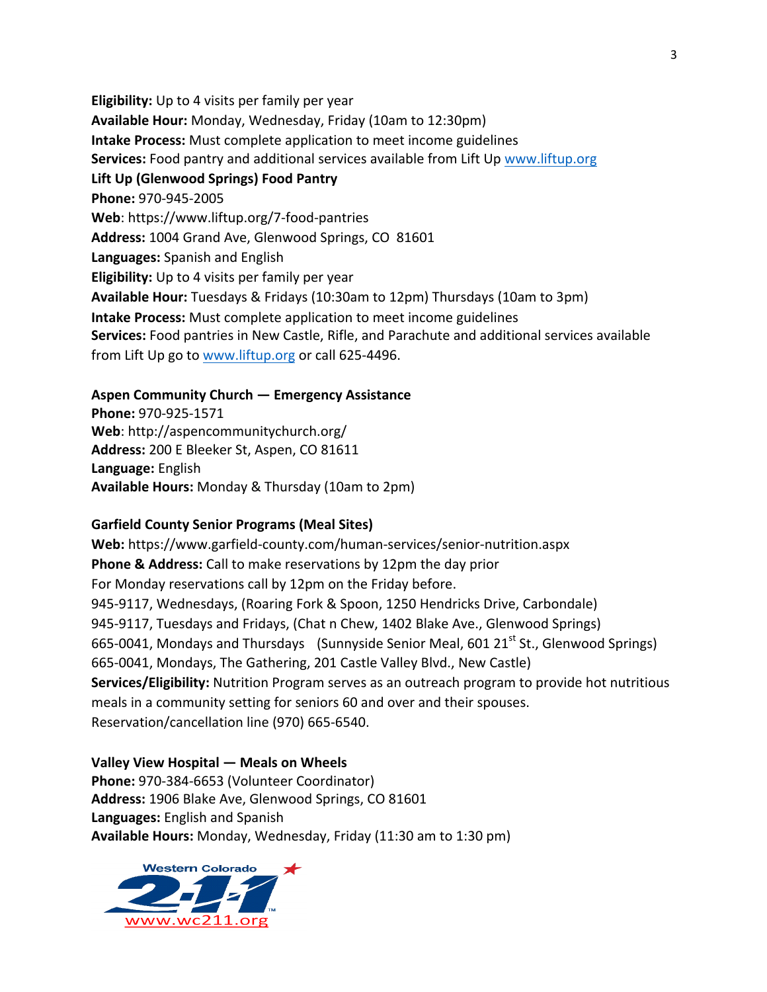**Eligibility:** Up to 4 visits per family per year Available Hour: Monday, Wednesday, Friday (10am to 12:30pm) **Intake Process:** Must complete application to meet income guidelines **Services:** Food pantry and additional services available from Lift Up www.liftup.org **Lift Up (Glenwood Springs) Food Pantry Phone:** 970-945-2005 Web: https://www.liftup.org/7-food-pantries Address: 1004 Grand Ave, Glenwood Springs, CO 81601 **Languages:** Spanish and English **Eligibility:** Up to 4 visits per family per year **Available Hour:** Tuesdays & Fridays (10:30am to 12pm) Thursdays (10am to 3pm) **Intake Process:** Must complete application to meet income guidelines **Services:** Food pantries in New Castle, Rifle, and Parachute and additional services available from Lift Up go to www.liftup.org or call 625-4496.

## **Aspen Community Church — Emergency Assistance**

**Phone:** 970-925-1571 Web: http://aspencommunitychurch.org/ Address: 200 E Bleeker St, Aspen, CO 81611 **Language:** English **Available Hours:** Monday & Thursday (10am to 2pm)

### **Garfield County Senior Programs (Meal Sites)**

Web: https://www.garfield-county.com/human-services/senior-nutrition.aspx **Phone & Address:** Call to make reservations by 12pm the day prior For Monday reservations call by 12pm on the Friday before. 945-9117, Wednesdays, (Roaring Fork & Spoon, 1250 Hendricks Drive, Carbondale) 945-9117, Tuesdays and Fridays, (Chat n Chew, 1402 Blake Ave., Glenwood Springs) 665-0041, Mondays and Thursdays (Sunnyside Senior Meal, 601  $21<sup>st</sup>$  St., Glenwood Springs) 665-0041, Mondays, The Gathering, 201 Castle Valley Blvd., New Castle) **Services/Eligibility:** Nutrition Program serves as an outreach program to provide hot nutritious meals in a community setting for seniors 60 and over and their spouses. Reservation/cancellation line (970) 665-6540.

#### **Valley View Hospital — Meals on Wheels**

Phone: 970-384-6653 (Volunteer Coordinator) Address: 1906 Blake Ave, Glenwood Springs, CO 81601 **Languages:** English and Spanish **Available Hours:** Monday, Wednesday, Friday (11:30 am to 1:30 pm)